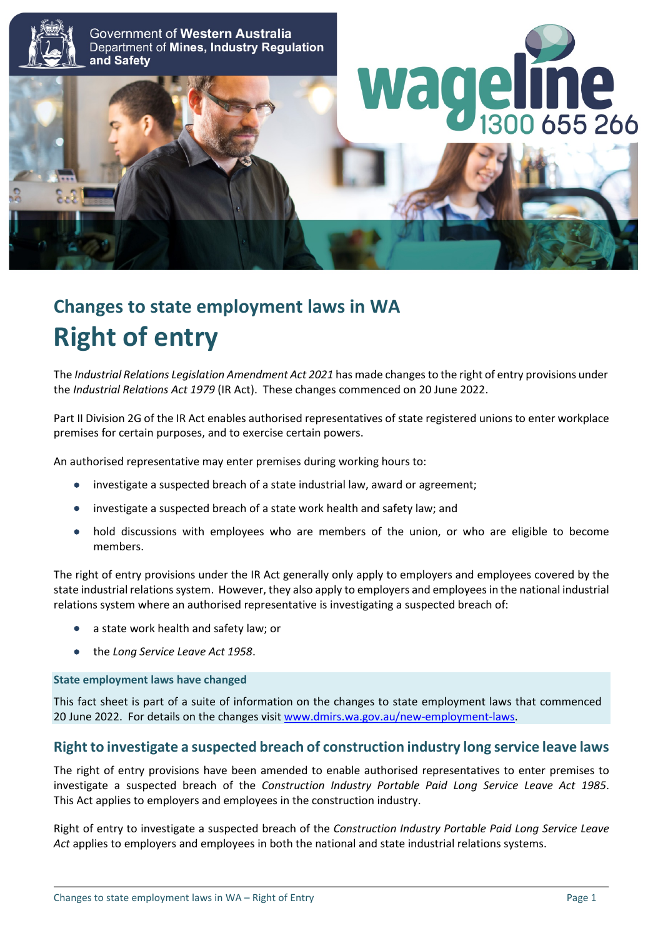

# **Changes to state employment laws in WA Right of entry**

The *Industrial Relations Legislation Amendment Act 2021* has made changes to the right of entry provisions under the *Industrial Relations Act 1979* (IR Act). These changes commenced on 20 June 2022.

Part II Division 2G of the IR Act enables authorised representatives of state registered unions to enter workplace premises for certain purposes, and to exercise certain powers.

An authorised representative may enter premises during working hours to:

- investigate a suspected breach of a state industrial law, award or agreement;
- investigate a suspected breach of a state work health and safety law; and
- hold discussions with employees who are members of the union, or who are eligible to become members.

The right of entry provisions under the IR Act generally only apply to employers and employees covered by the state industrial relations system. However, they also apply to employers and employees in the national industrial relations system where an authorised representative is investigating a suspected breach of:

- a state work health and safety law; or
- the *Long Service Leave Act 1958*.

#### **State employment laws have changed**

This fact sheet is part of a suite of information on the changes to state employment laws that commenced 20 June 2022. For details on the changes visit [www.dmirs.wa.gov.au/new-employment-laws.](http://www.dmirs.wa.gov.au/new-employment-laws)

### **Right to investigate a suspected breach of construction industry long service leave laws**

The right of entry provisions have been amended to enable authorised representatives to enter premises to investigate a suspected breach of the *Construction Industry Portable Paid Long Service Leave Act 1985*. This Act applies to employers and employees in the construction industry.

Right of entry to investigate a suspected breach of the *Construction Industry Portable Paid Long Service Leave Act* applies to employers and employees in both the national and state industrial relations systems.